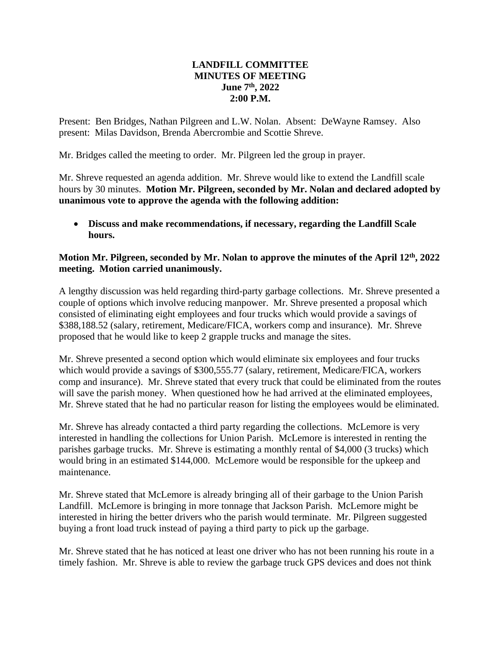## **LANDFILL COMMITTEE MINUTES OF MEETING June 7th , 2022 2:00 P.M.**

Present: Ben Bridges, Nathan Pilgreen and L.W. Nolan. Absent: DeWayne Ramsey. Also present: Milas Davidson, Brenda Abercrombie and Scottie Shreve.

Mr. Bridges called the meeting to order. Mr. Pilgreen led the group in prayer.

Mr. Shreve requested an agenda addition. Mr. Shreve would like to extend the Landfill scale hours by 30 minutes. **Motion Mr. Pilgreen, seconded by Mr. Nolan and declared adopted by unanimous vote to approve the agenda with the following addition:**

• **Discuss and make recommendations, if necessary, regarding the Landfill Scale hours.**

## **Motion Mr. Pilgreen, seconded by Mr. Nolan to approve the minutes of the April 12th, 2022 meeting. Motion carried unanimously.**

A lengthy discussion was held regarding third-party garbage collections. Mr. Shreve presented a couple of options which involve reducing manpower. Mr. Shreve presented a proposal which consisted of eliminating eight employees and four trucks which would provide a savings of \$388,188.52 (salary, retirement, Medicare/FICA, workers comp and insurance). Mr. Shreve proposed that he would like to keep 2 grapple trucks and manage the sites.

Mr. Shreve presented a second option which would eliminate six employees and four trucks which would provide a savings of \$300,555.77 (salary, retirement, Medicare/FICA, workers comp and insurance). Mr. Shreve stated that every truck that could be eliminated from the routes will save the parish money. When questioned how he had arrived at the eliminated employees, Mr. Shreve stated that he had no particular reason for listing the employees would be eliminated.

Mr. Shreve has already contacted a third party regarding the collections. McLemore is very interested in handling the collections for Union Parish. McLemore is interested in renting the parishes garbage trucks. Mr. Shreve is estimating a monthly rental of \$4,000 (3 trucks) which would bring in an estimated \$144,000. McLemore would be responsible for the upkeep and maintenance.

Mr. Shreve stated that McLemore is already bringing all of their garbage to the Union Parish Landfill. McLemore is bringing in more tonnage that Jackson Parish. McLemore might be interested in hiring the better drivers who the parish would terminate. Mr. Pilgreen suggested buying a front load truck instead of paying a third party to pick up the garbage.

Mr. Shreve stated that he has noticed at least one driver who has not been running his route in a timely fashion. Mr. Shreve is able to review the garbage truck GPS devices and does not think